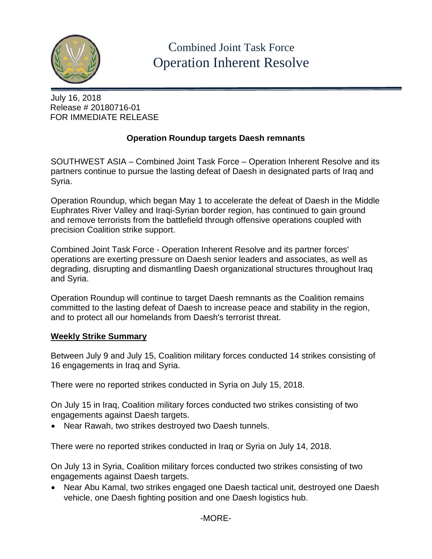

## July 16, 2018 Release # 20180716-01 FOR IMMEDIATE RELEASE

## **Operation Roundup targets Daesh remnants**

SOUTHWEST ASIA – Combined Joint Task Force – Operation Inherent Resolve and its partners continue to pursue the lasting defeat of Daesh in designated parts of Iraq and Syria.

Operation Roundup, which began May 1 to accelerate the defeat of Daesh in the Middle Euphrates River Valley and Iraqi-Syrian border region, has continued to gain ground and remove terrorists from the battlefield through offensive operations coupled with precision Coalition strike support.

Combined Joint Task Force - Operation Inherent Resolve and its partner forces' operations are exerting pressure on Daesh senior leaders and associates, as well as degrading, disrupting and dismantling Daesh organizational structures throughout Iraq and Syria.

Operation Roundup will continue to target Daesh remnants as the Coalition remains committed to the lasting defeat of Daesh to increase peace and stability in the region, and to protect all our homelands from Daesh's terrorist threat.

## **Weekly Strike Summary**

Between July 9 and July 15, Coalition military forces conducted 14 strikes consisting of 16 engagements in Iraq and Syria.

There were no reported strikes conducted in Syria on July 15, 2018.

On July 15 in Iraq, Coalition military forces conducted two strikes consisting of two engagements against Daesh targets.

• Near Rawah, two strikes destroyed two Daesh tunnels.

There were no reported strikes conducted in Iraq or Syria on July 14, 2018.

On July 13 in Syria, Coalition military forces conducted two strikes consisting of two engagements against Daesh targets.

• Near Abu Kamal, two strikes engaged one Daesh tactical unit, destroyed one Daesh vehicle, one Daesh fighting position and one Daesh logistics hub.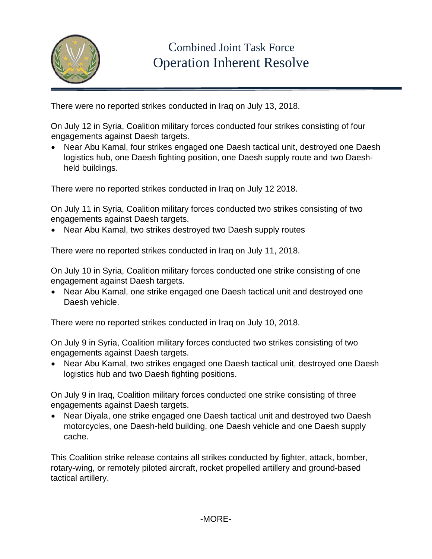

There were no reported strikes conducted in Iraq on July 13, 2018.

On July 12 in Syria, Coalition military forces conducted four strikes consisting of four engagements against Daesh targets.

• Near Abu Kamal, four strikes engaged one Daesh tactical unit, destroyed one Daesh logistics hub, one Daesh fighting position, one Daesh supply route and two Daeshheld buildings.

There were no reported strikes conducted in Iraq on July 12 2018.

On July 11 in Syria, Coalition military forces conducted two strikes consisting of two engagements against Daesh targets.

• Near Abu Kamal, two strikes destroyed two Daesh supply routes

There were no reported strikes conducted in Iraq on July 11, 2018.

On July 10 in Syria, Coalition military forces conducted one strike consisting of one engagement against Daesh targets.

• Near Abu Kamal, one strike engaged one Daesh tactical unit and destroyed one Daesh vehicle.

There were no reported strikes conducted in Iraq on July 10, 2018.

On July 9 in Syria, Coalition military forces conducted two strikes consisting of two engagements against Daesh targets.

• Near Abu Kamal, two strikes engaged one Daesh tactical unit, destroyed one Daesh logistics hub and two Daesh fighting positions.

On July 9 in Iraq, Coalition military forces conducted one strike consisting of three engagements against Daesh targets.

• Near Diyala, one strike engaged one Daesh tactical unit and destroyed two Daesh motorcycles, one Daesh-held building, one Daesh vehicle and one Daesh supply cache.

This Coalition strike release contains all strikes conducted by fighter, attack, bomber, rotary-wing, or remotely piloted aircraft, rocket propelled artillery and ground-based tactical artillery.